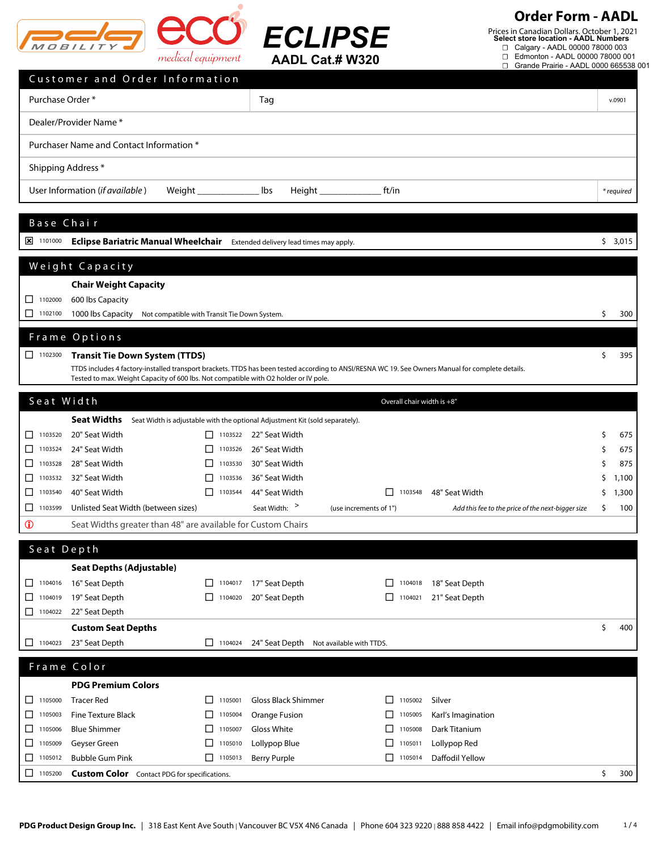

**Order Form - AADL**

Prices in Canadian Dollars. October 1, 2021 **Select store location - AADL Numbers**

☐ Calgary - AADL 00000 78000 003

|                       |                                                                                                                                                                                                                                           | medical equipment                            |                                                                                                        | <b>AADL Cat.# W320</b>     | Edmonton - AADL 00000 78000 001<br>□<br>Grande Prairie - AADL 0000 665538 001<br>0 |    |            |
|-----------------------|-------------------------------------------------------------------------------------------------------------------------------------------------------------------------------------------------------------------------------------------|----------------------------------------------|--------------------------------------------------------------------------------------------------------|----------------------------|------------------------------------------------------------------------------------|----|------------|
|                       | Customer and Order Information                                                                                                                                                                                                            |                                              |                                                                                                        |                            |                                                                                    |    |            |
| Purchase Order *      |                                                                                                                                                                                                                                           |                                              | Tag                                                                                                    |                            |                                                                                    |    | v.0901     |
|                       | Dealer/Provider Name *                                                                                                                                                                                                                    |                                              |                                                                                                        |                            |                                                                                    |    |            |
|                       | Purchaser Name and Contact Information *                                                                                                                                                                                                  |                                              |                                                                                                        |                            |                                                                                    |    |            |
| Shipping Address *    |                                                                                                                                                                                                                                           |                                              |                                                                                                        |                            |                                                                                    |    |            |
|                       | User Information (if available)                                                                                                                                                                                                           | Weight ______________                        | lbs<br>Height $\Box$                                                                                   | ft/in                      |                                                                                    |    | * required |
|                       |                                                                                                                                                                                                                                           |                                              |                                                                                                        |                            |                                                                                    |    |            |
| Base Chair            |                                                                                                                                                                                                                                           |                                              |                                                                                                        |                            |                                                                                    |    |            |
| $\frac{1}{2}$ 1101000 | <b>Eclipse Bariatric Manual Wheelchair</b>                                                                                                                                                                                                |                                              | Extended delivery lead times may apply.                                                                |                            |                                                                                    |    | \$3,015    |
|                       | Weight Capacity                                                                                                                                                                                                                           |                                              |                                                                                                        |                            |                                                                                    |    |            |
|                       | <b>Chair Weight Capacity</b>                                                                                                                                                                                                              |                                              |                                                                                                        |                            |                                                                                    |    |            |
| $\Box$ 1102000        | 600 lbs Capacity                                                                                                                                                                                                                          |                                              |                                                                                                        |                            |                                                                                    |    |            |
| $\Box$ 1102100        | 1000 lbs Capacity                                                                                                                                                                                                                         | Not compatible with Transit Tie Down System. |                                                                                                        |                            |                                                                                    | \$ | 300        |
|                       | Frame Options                                                                                                                                                                                                                             |                                              |                                                                                                        |                            |                                                                                    |    |            |
| $\Box$ 1102300        | <b>Transit Tie Down System (TTDS)</b>                                                                                                                                                                                                     |                                              |                                                                                                        |                            |                                                                                    | \$ | 395        |
|                       | TTDS includes 4 factory-installed transport brackets. TTDS has been tested according to ANSI/RESNA WC 19. See Owners Manual for complete details.<br>Tested to max. Weight Capacity of 600 lbs. Not compatible with O2 holder or IV pole. |                                              |                                                                                                        |                            |                                                                                    |    |            |
|                       |                                                                                                                                                                                                                                           |                                              |                                                                                                        |                            |                                                                                    |    |            |
| Seat Width            | <b>Seat Widths</b>                                                                                                                                                                                                                        |                                              |                                                                                                        | Overall chair width is +8" |                                                                                    |    |            |
| $\Box$ 1103520        | 20" Seat Width                                                                                                                                                                                                                            |                                              | Seat Width is adjustable with the optional Adjustment Kit (sold separately).<br>1103522 22" Seat Width |                            |                                                                                    | Ş  | 675        |
| $\Box$ 1103524        | 24" Seat Width                                                                                                                                                                                                                            | 1103526                                      | 26" Seat Width                                                                                         |                            |                                                                                    | \$ | 675        |
| 1103528               | 28" Seat Width                                                                                                                                                                                                                            | П<br>1103530                                 | 30" Seat Width                                                                                         |                            |                                                                                    | Ś  | 875        |
| 1103532               | 32" Seat Width                                                                                                                                                                                                                            | 1103536<br>LI                                | 36" Seat Width                                                                                         |                            |                                                                                    | Ś  | 1,100      |
| $\Box$ 1103540        | 40" Seat Width                                                                                                                                                                                                                            | $\boxed{\phantom{1}}$ 1103544                | 44" Seat Width                                                                                         | 1103548<br>LI              | 48" Seat Width                                                                     | \$ | 1,300      |
| $\Box$ 1103599        | Unlisted Seat Width (between sizes)                                                                                                                                                                                                       |                                              | Seat Width: >                                                                                          | (use increments of 1")     | Add this fee to the price of the next-bigger size                                  | \$ | 100        |
| $\mathbf 0$           | Seat Widths greater than 48" are available for Custom Chairs                                                                                                                                                                              |                                              |                                                                                                        |                            |                                                                                    |    |            |
| Seat Depth            |                                                                                                                                                                                                                                           |                                              |                                                                                                        |                            |                                                                                    |    |            |
|                       | <b>Seat Depths (Adjustable)</b>                                                                                                                                                                                                           |                                              |                                                                                                        |                            |                                                                                    |    |            |
| 1104016               | 16" Seat Depth                                                                                                                                                                                                                            | $\Box$ 1104017                               | 17" Seat Depth                                                                                         | $\Box$ 1104018             | 18" Seat Depth                                                                     |    |            |
| $\Box$ 1104019        | 19" Seat Depth                                                                                                                                                                                                                            | $\Box$ 1104020                               | 20" Seat Depth                                                                                         | 1104021<br>П               | 21" Seat Depth                                                                     |    |            |
| $\Box$ 1104022        | 22" Seat Depth                                                                                                                                                                                                                            |                                              |                                                                                                        |                            |                                                                                    |    |            |
| $\Box$ 1104023        | <b>Custom Seat Depths</b><br>23" Seat Depth                                                                                                                                                                                               | 1104024                                      |                                                                                                        |                            |                                                                                    | \$ | 400        |
|                       |                                                                                                                                                                                                                                           |                                              | 24" Seat Depth Not available with TTDS.                                                                |                            |                                                                                    |    |            |
|                       | Frame Color                                                                                                                                                                                                                               |                                              |                                                                                                        |                            |                                                                                    |    |            |
|                       | <b>PDG Premium Colors</b>                                                                                                                                                                                                                 |                                              |                                                                                                        |                            |                                                                                    |    |            |
| $\Box$ 1105000        | <b>Tracer Red</b>                                                                                                                                                                                                                         | $\Box$ 1105001                               | <b>Gloss Black Shimmer</b>                                                                             | 1105002<br>П               | Silver                                                                             |    |            |
| $\Box$ 1105003        | <b>Fine Texture Black</b>                                                                                                                                                                                                                 | 1105004                                      | <b>Orange Fusion</b>                                                                                   | 1105005<br>П               | Karl's Imagination                                                                 |    |            |
| $\Box$ 1105006        | <b>Blue Shimmer</b>                                                                                                                                                                                                                       | $\Box$ 1105007                               | Gloss White                                                                                            | П<br>1105008               | Dark Titanium                                                                      |    |            |
| $\Box$ 1105009        | Geyser Green                                                                                                                                                                                                                              | 1105010                                      | Lollypop Blue                                                                                          | 1105011<br>□               | Lollypop Red                                                                       |    |            |
| $\Box$ 1105012        | <b>Bubble Gum Pink</b>                                                                                                                                                                                                                    | $\Box$ 1105013                               | <b>Berry Purple</b>                                                                                    | □<br>1105014               | Daffodil Yellow                                                                    |    |            |
| $\Box$ 1105200        | <b>Custom Color</b> Contact PDG for specifications.                                                                                                                                                                                       |                                              |                                                                                                        |                            |                                                                                    | \$ | 300        |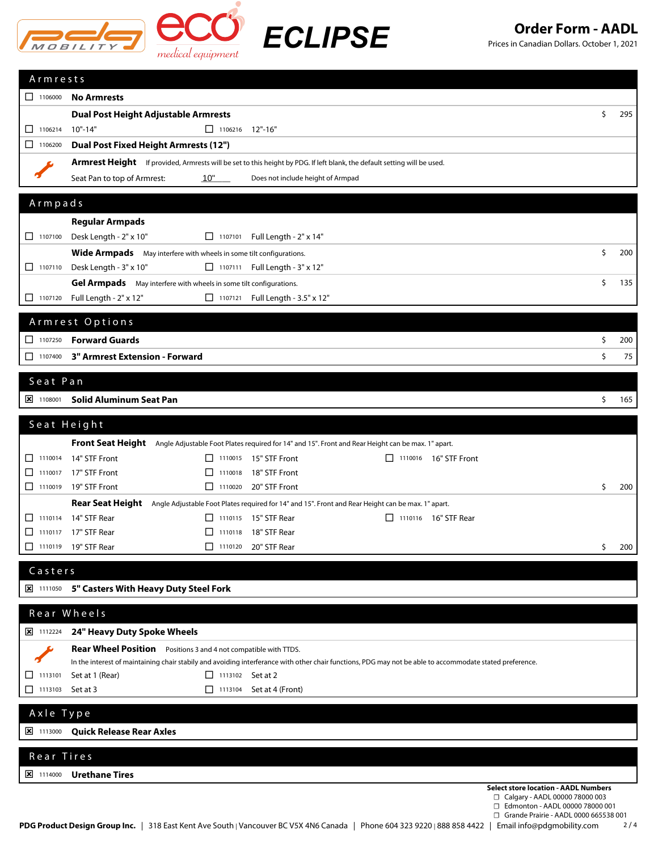

*ECLIPSE*

## **Order Form - AADL**

Prices in Canadian Dollars. October 1, 2021

| Armrests                                                                 |                                                                                                                          |                                                                                                                                                                              |    |     |  |  |
|--------------------------------------------------------------------------|--------------------------------------------------------------------------------------------------------------------------|------------------------------------------------------------------------------------------------------------------------------------------------------------------------------|----|-----|--|--|
| 1106000                                                                  | <b>No Armrests</b>                                                                                                       |                                                                                                                                                                              |    |     |  |  |
|                                                                          | <b>Dual Post Height Adjustable Armrests</b>                                                                              |                                                                                                                                                                              | \$ | 295 |  |  |
| $\Box$ 1106214                                                           | 1106216 12"-16"<br>$10" - 14"$                                                                                           |                                                                                                                                                                              |    |     |  |  |
| $\Box$ 1106200                                                           | Dual Post Fixed Height Armrests (12")                                                                                    |                                                                                                                                                                              |    |     |  |  |
|                                                                          | Armrest Height If provided, Armrests will be set to this height by PDG. If left blank, the default setting will be used. |                                                                                                                                                                              |    |     |  |  |
|                                                                          | Seat Pan to top of Armrest:<br>10"                                                                                       | Does not include height of Armpad                                                                                                                                            |    |     |  |  |
|                                                                          |                                                                                                                          |                                                                                                                                                                              |    |     |  |  |
| Armpads                                                                  |                                                                                                                          |                                                                                                                                                                              |    |     |  |  |
|                                                                          | <b>Regular Armpads</b>                                                                                                   |                                                                                                                                                                              |    |     |  |  |
| $\Box$ 1107100                                                           | Desk Length - 2" x 10"                                                                                                   | □ 1107101 Full Length - 2" x 14"                                                                                                                                             |    |     |  |  |
|                                                                          | Wide Armpads May interfere with wheels in some tilt configurations.                                                      |                                                                                                                                                                              | \$ | 200 |  |  |
| $\Box$ 1107110                                                           | Desk Length - 3" x 10"                                                                                                   | □ 1107111 Full Length - 3" x 12"                                                                                                                                             |    |     |  |  |
|                                                                          | Gel Armpads May interfere with wheels in some tilt configurations.                                                       |                                                                                                                                                                              | \$ | 135 |  |  |
| $\begin{array}{ c c c c c } \hline \quad & 1107120 \\\hline \end{array}$ | Full Length - 2" x 12"                                                                                                   | □ 1107121 Full Length - 3.5" x 12"                                                                                                                                           |    |     |  |  |
|                                                                          | Armrest Options                                                                                                          |                                                                                                                                                                              |    |     |  |  |
| $\Box$ 1107250                                                           | <b>Forward Guards</b>                                                                                                    |                                                                                                                                                                              | \$ | 200 |  |  |
| П<br>1107400                                                             | 3" Armrest Extension - Forward                                                                                           |                                                                                                                                                                              | \$ | 75  |  |  |
|                                                                          |                                                                                                                          |                                                                                                                                                                              |    |     |  |  |
| Seat Pan                                                                 |                                                                                                                          |                                                                                                                                                                              |    |     |  |  |
| $\frac{\times}{1108001}$                                                 | <b>Solid Aluminum Seat Pan</b>                                                                                           |                                                                                                                                                                              | \$ | 165 |  |  |
|                                                                          |                                                                                                                          |                                                                                                                                                                              |    |     |  |  |
| Seat Height                                                              |                                                                                                                          |                                                                                                                                                                              |    |     |  |  |
|                                                                          |                                                                                                                          | Front Seat Height Angle Adjustable Foot Plates required for 14" and 15". Front and Rear Height can be max. 1" apart.                                                         |    |     |  |  |
| $\Box$ 1110014                                                           | 14" STF Front                                                                                                            | $\Box$ 1110015 15" STF Front<br>$\Box$ 1110016 16" STF Front                                                                                                                 |    |     |  |  |
| □<br>1110017<br>$\Box$ 1110019                                           | 17" STF Front<br>19" STF Front                                                                                           | $\Box$ 1110018 18" STF Front<br>1110020 20" STF Front                                                                                                                        | \$ | 200 |  |  |
|                                                                          |                                                                                                                          |                                                                                                                                                                              |    |     |  |  |
| $\Box$ 1110114                                                           | 14" STF Rear                                                                                                             | Rear Seat Height Angle Adjustable Foot Plates required for 14" and 15". Front and Rear Height can be max. 1" apart.<br>$\Box$ 1110115 15" STF Rear<br>□ 1110116 16" STF Rear |    |     |  |  |
| $\Box$<br>1110117                                                        | 17" STF Rear                                                                                                             | $\Box$ 1110118 18" STF Rear                                                                                                                                                  |    |     |  |  |
| $\Box$ 1110119                                                           | 19" STF Rear                                                                                                             | 1110120 20" STF Rear                                                                                                                                                         | \$ | 200 |  |  |
|                                                                          |                                                                                                                          |                                                                                                                                                                              |    |     |  |  |
| Casters                                                                  |                                                                                                                          |                                                                                                                                                                              |    |     |  |  |
|                                                                          | 区 1111050 5" Casters With Heavy Duty Steel Fork                                                                          |                                                                                                                                                                              |    |     |  |  |
|                                                                          | Rear Wheels                                                                                                              |                                                                                                                                                                              |    |     |  |  |
|                                                                          |                                                                                                                          |                                                                                                                                                                              |    |     |  |  |
| $\frac{1}{2}$ 1112224                                                    | 24" Heavy Duty Spoke Wheels                                                                                              |                                                                                                                                                                              |    |     |  |  |
|                                                                          | Rear Wheel Position Positions 3 and 4 not compatible with TTDS.                                                          | In the interest of maintaining chair stabily and avoiding interferance with other chair functions, PDG may not be able to accommodate stated preference.                     |    |     |  |  |
| 1113101<br>⊔                                                             | Set at 1 (Rear)<br>$\Box$ 1113102 Set at 2                                                                               |                                                                                                                                                                              |    |     |  |  |
| $\Box$ 1113103                                                           | Set at 3<br>1113104                                                                                                      | Set at 4 (Front)                                                                                                                                                             |    |     |  |  |
|                                                                          |                                                                                                                          |                                                                                                                                                                              |    |     |  |  |
| Axle Type                                                                |                                                                                                                          |                                                                                                                                                                              |    |     |  |  |
| $\frac{1}{2}$ 1113000                                                    | <b>Quick Release Rear Axles</b>                                                                                          |                                                                                                                                                                              |    |     |  |  |
| Rear Tires                                                               |                                                                                                                          |                                                                                                                                                                              |    |     |  |  |
| $\frac{\times}{\times}$ 1114000                                          | <b>Urethane Tires</b>                                                                                                    |                                                                                                                                                                              |    |     |  |  |
|                                                                          |                                                                                                                          | <b>Select store location - AADL Numbers</b>                                                                                                                                  |    |     |  |  |
|                                                                          |                                                                                                                          | $\Box$ Calgary - AADL 00000 78000 003<br>□ Edmonton - AADL 00000 78000 001                                                                                                   |    |     |  |  |
|                                                                          |                                                                                                                          | □ Grande Prairie - AADL 0000 665538 001                                                                                                                                      |    |     |  |  |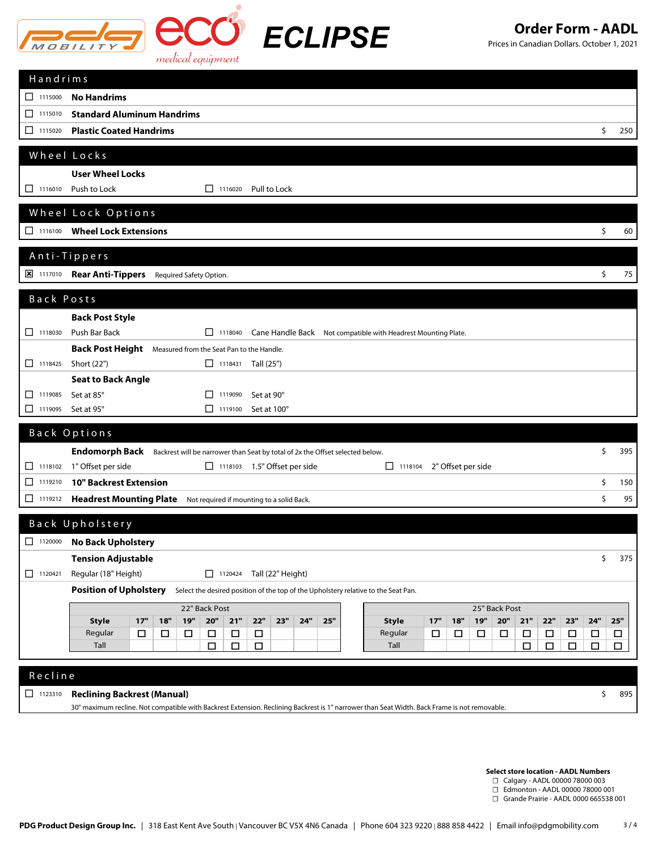

*ECLIPSE*

## **Order Form - AADL**

Prices in Canadian Dollars. October 1, 2021

| Handrims       |                                                                                                                                                                                                         |                  |
|----------------|---------------------------------------------------------------------------------------------------------------------------------------------------------------------------------------------------------|------------------|
| 1115000        | <b>No Handrims</b>                                                                                                                                                                                      |                  |
| $\Box$ 1115010 | <b>Standard Aluminum Handrims</b>                                                                                                                                                                       |                  |
| $\Box$ 1115020 | <b>Plastic Coated Handrims</b><br>\$                                                                                                                                                                    | 250              |
|                | Wheel Locks                                                                                                                                                                                             |                  |
|                | <b>User Wheel Locks</b>                                                                                                                                                                                 |                  |
| $\Box$ 1116010 | Push to Lock<br>Pull to Lock<br>1116020                                                                                                                                                                 |                  |
|                | Wheel Lock Options                                                                                                                                                                                      |                  |
| $\Box$ 1116100 | <b>Wheel Lock Extensions</b><br>\$                                                                                                                                                                      | 60               |
|                | Anti-Tippers                                                                                                                                                                                            |                  |
|                | 8 1117010 Rear Anti-Tippers Required Safety Option.<br>\$                                                                                                                                               | 75               |
| Back Posts     |                                                                                                                                                                                                         |                  |
|                | <b>Back Post Style</b>                                                                                                                                                                                  |                  |
| $\Box$ 1118030 | Push Bar Back<br>1118040 Cane Handle Back Not compatible with Headrest Mounting Plate.                                                                                                                  |                  |
|                | Back Post Height Measured from the Seat Pan to the Handle.                                                                                                                                              |                  |
| $\Box$ 1118425 | Short (22")<br>$\Box$ 1118431 Tall (25")                                                                                                                                                                |                  |
|                | <b>Seat to Back Angle</b>                                                                                                                                                                               |                  |
| 1119085        | Set at 85°<br>1119090<br>Set at 90°<br>П                                                                                                                                                                |                  |
| $\Box$ 1119095 | Set at 95°<br>$\Box$ 1119100<br>Set at 100°                                                                                                                                                             |                  |
|                | Back Options                                                                                                                                                                                            |                  |
|                | Endomorph Back<br>\$<br>Backrest will be narrower than Seat by total of 2x the Offset selected below.                                                                                                   | 395              |
| $\Box$ 1118102 | 1" Offset per side<br>1118103 1.5" Offset per side<br>2" Offset per side<br>$\Box$ 1118104                                                                                                              |                  |
| $\Box$ 1119210 | <b>10" Backrest Extension</b><br>\$                                                                                                                                                                     | 150              |
| $\Box$ 1119212 | <b>Headrest Mounting Plate</b><br>Not required if mounting to a solid Back.                                                                                                                             | \$<br>95         |
|                | Back Upholstery                                                                                                                                                                                         |                  |
| $\Box$ 1120000 | <b>No Back Upholstery</b>                                                                                                                                                                               |                  |
|                | <b>Tension Adjustable</b><br>\$                                                                                                                                                                         | 375              |
| $\Box$ 1120421 | Regular (18" Height)<br>$\boxed{\phantom{1}}$ 1120424<br>Tall (22" Height)                                                                                                                              |                  |
|                | <b>Position of Upholstery</b><br>Select the desired position of the top of the Upholstery relative to the Seat Pan.                                                                                     |                  |
|                | 25" Back Post<br>22" Back Post                                                                                                                                                                          |                  |
|                | 19"<br>20"<br>$21"$<br>22"<br>17"<br>19"<br>20"<br>21"<br>22"<br>23"<br>24"<br>17"<br>18"<br>23"<br>24"<br>25"<br>18"<br><b>Style</b><br><b>Style</b>                                                   | 25"              |
|                | Regular<br>Regular<br>$\Box$<br>$\Box$<br>$\Box$<br>$\Box$<br>□<br>□<br>$\Box$<br>□<br>□<br>$\Box$<br>□<br>$\Box$<br>$\Box$<br>□<br>Tall<br>Tall<br>□<br>$\Box$<br>□<br>$\Box$<br>$\Box$<br>$\Box$<br>□ | $\Box$<br>$\Box$ |
|                |                                                                                                                                                                                                         |                  |
| Recline        |                                                                                                                                                                                                         |                  |
|                |                                                                                                                                                                                                         | \$<br>895        |
| $\Box$ 1123310 | <b>Reclining Backrest (Manual)</b>                                                                                                                                                                      |                  |

**Select store location - AADL Numbers**

- ☐ Calgary AADL 00000 78000 003
- ☐ Edmonton AADL 00000 78000 001

☐ Grande Prairie - AADL 0000 665538 001